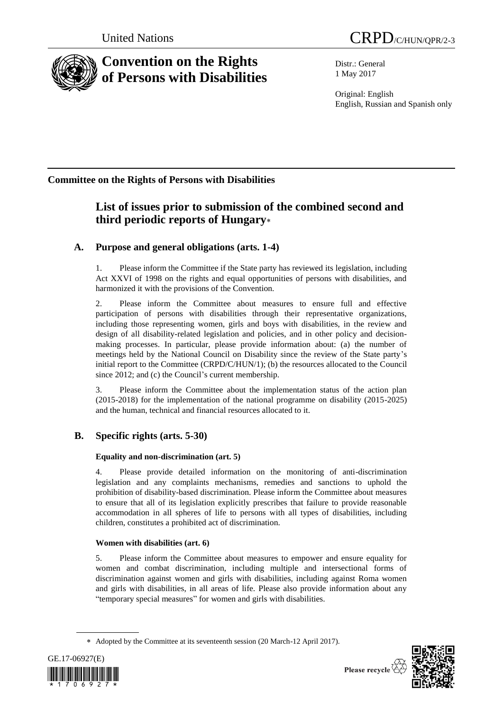

# **Convention on the Rights of Persons with Disabilities**

Distr.: General 1 May 2017

Original: English English, Russian and Spanish only

## **Committee on the Rights of Persons with Disabilities**

# **List of issues prior to submission of the combined second and third periodic reports of Hungary**

### **A. Purpose and general obligations (arts. 1-4)**

1. Please inform the Committee if the State party has reviewed its legislation, including Act XXVI of 1998 on the rights and equal opportunities of persons with disabilities, and harmonized it with the provisions of the Convention.

2. Please inform the Committee about measures to ensure full and effective participation of persons with disabilities through their representative organizations, including those representing women, girls and boys with disabilities, in the review and design of all disability-related legislation and policies, and in other policy and decisionmaking processes. In particular, please provide information about: (a) the number of meetings held by the National Council on Disability since the review of the State party's initial report to the Committee (CRPD/C/HUN/1); (b) the resources allocated to the Council since 2012; and (c) the Council's current membership.

3. Please inform the Committee about the implementation status of the action plan (2015-2018) for the implementation of the national programme on disability (2015-2025) and the human, technical and financial resources allocated to it.

### **B. Specific rights (arts. 5-30)**

### **Equality and non-discrimination (art. 5)**

4. Please provide detailed information on the monitoring of anti-discrimination legislation and any complaints mechanisms, remedies and sanctions to uphold the prohibition of disability-based discrimination. Please inform the Committee about measures to ensure that all of its legislation explicitly prescribes that failure to provide reasonable accommodation in all spheres of life to persons with all types of disabilities, including children, constitutes a prohibited act of discrimination.

### **Women with disabilities (art. 6)**

5. Please inform the Committee about measures to empower and ensure equality for women and combat discrimination, including multiple and intersectional forms of discrimination against women and girls with disabilities, including against Roma women and girls with disabilities, in all areas of life. Please also provide information about any "temporary special measures" for women and girls with disabilities.

Adopted by the Committee at its seventeenth session (20 March-12 April 2017).



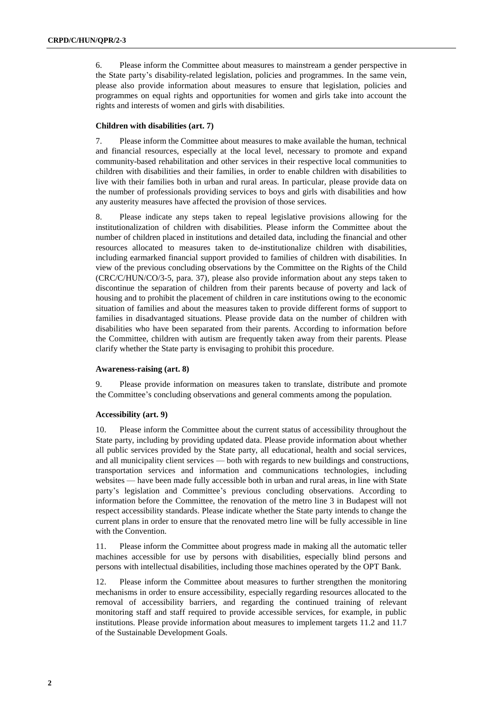6. Please inform the Committee about measures to mainstream a gender perspective in the State party's disability-related legislation, policies and programmes. In the same vein, please also provide information about measures to ensure that legislation, policies and programmes on equal rights and opportunities for women and girls take into account the rights and interests of women and girls with disabilities.

#### **Children with disabilities (art. 7)**

7. Please inform the Committee about measures to make available the human, technical and financial resources, especially at the local level, necessary to promote and expand community-based rehabilitation and other services in their respective local communities to children with disabilities and their families, in order to enable children with disabilities to live with their families both in urban and rural areas. In particular, please provide data on the number of professionals providing services to boys and girls with disabilities and how any austerity measures have affected the provision of those services.

8. Please indicate any steps taken to repeal legislative provisions allowing for the institutionalization of children with disabilities. Please inform the Committee about the number of children placed in institutions and detailed data, including the financial and other resources allocated to measures taken to de-institutionalize children with disabilities, including earmarked financial support provided to families of children with disabilities. In view of the previous concluding observations by the Committee on the Rights of the Child (CRC/C/HUN/CO/3-5, para. 37), please also provide information about any steps taken to discontinue the separation of children from their parents because of poverty and lack of housing and to prohibit the placement of children in care institutions owing to the economic situation of families and about the measures taken to provide different forms of support to families in disadvantaged situations. Please provide data on the number of children with disabilities who have been separated from their parents. According to information before the Committee, children with autism are frequently taken away from their parents. Please clarify whether the State party is envisaging to prohibit this procedure.

#### **Awareness-raising (art. 8)**

9. Please provide information on measures taken to translate, distribute and promote the Committee's concluding observations and general comments among the population.

#### **Accessibility (art. 9)**

10. Please inform the Committee about the current status of accessibility throughout the State party, including by providing updated data. Please provide information about whether all public services provided by the State party, all educational, health and social services, and all municipality client services — both with regards to new buildings and constructions, transportation services and information and communications technologies, including websites — have been made fully accessible both in urban and rural areas, in line with State party's legislation and Committee's previous concluding observations. According to information before the Committee, the renovation of the metro line 3 in Budapest will not respect accessibility standards. Please indicate whether the State party intends to change the current plans in order to ensure that the renovated metro line will be fully accessible in line with the Convention.

11. Please inform the Committee about progress made in making all the automatic teller machines accessible for use by persons with disabilities, especially blind persons and persons with intellectual disabilities, including those machines operated by the OPT Bank.

12. Please inform the Committee about measures to further strengthen the monitoring mechanisms in order to ensure accessibility, especially regarding resources allocated to the removal of accessibility barriers, and regarding the continued training of relevant monitoring staff and staff required to provide accessible services, for example, in public institutions. Please provide information about measures to implement targets 11.2 and 11.7 of the Sustainable Development Goals.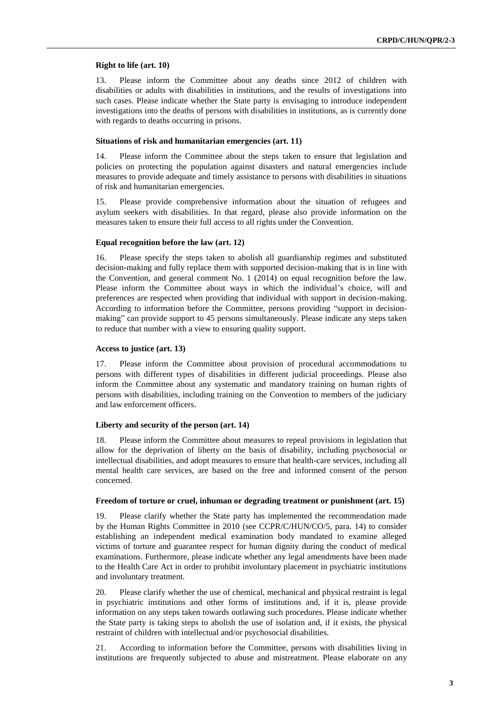#### **Right to life (art. 10)**

13. Please inform the Committee about any deaths since 2012 of children with disabilities or adults with disabilities in institutions, and the results of investigations into such cases. Please indicate whether the State party is envisaging to introduce independent investigations into the deaths of persons with disabilities in institutions, as is currently done with regards to deaths occurring in prisons.

#### **Situations of risk and humanitarian emergencies (art. 11)**

14. Please inform the Committee about the steps taken to ensure that legislation and policies on protecting the population against disasters and natural emergencies include measures to provide adequate and timely assistance to persons with disabilities in situations of risk and humanitarian emergencies.

15. Please provide comprehensive information about the situation of refugees and asylum seekers with disabilities. In that regard, please also provide information on the measures taken to ensure their full access to all rights under the Convention.

#### **Equal recognition before the law (art. 12)**

16. Please specify the steps taken to abolish all guardianship regimes and substituted decision-making and fully replace them with supported decision-making that is in line with the Convention, and general comment No. 1 (2014) on equal recognition before the law. Please inform the Committee about ways in which the individual's choice, will and preferences are respected when providing that individual with support in decision-making. According to information before the Committee, persons providing "support in decisionmaking" can provide support to 45 persons simultaneously. Please indicate any steps taken to reduce that number with a view to ensuring quality support.

#### **Access to justice (art. 13)**

17. Please inform the Committee about provision of procedural accommodations to persons with different types of disabilities in different judicial proceedings. Please also inform the Committee about any systematic and mandatory training on human rights of persons with disabilities, including training on the Convention to members of the judiciary and law enforcement officers.

#### **Liberty and security of the person (art. 14)**

18. Please inform the Committee about measures to repeal provisions in legislation that allow for the deprivation of liberty on the basis of disability, including psychosocial or intellectual disabilities, and adopt measures to ensure that health-care services, including all mental health care services, are based on the free and informed consent of the person concerned.

#### **Freedom of torture or cruel, inhuman or degrading treatment or punishment (art. 15)**

19. Please clarify whether the State party has implemented the recommendation made by the Human Rights Committee in 2010 (see CCPR/C/HUN/CO/5, para. 14) to consider establishing an independent medical examination body mandated to examine alleged victims of torture and guarantee respect for human dignity during the conduct of medical examinations. Furthermore, please indicate whether any legal amendments have been made to the Health Care Act in order to prohibit involuntary placement in psychiatric institutions and involuntary treatment.

20. Please clarify whether the use of chemical, mechanical and physical restraint is legal in psychiatric institutions and other forms of institutions and, if it is, please provide information on any steps taken towards outlawing such procedures. Please indicate whether the State party is taking steps to abolish the use of isolation and, if it exists, the physical restraint of children with intellectual and/or psychosocial disabilities.

21. According to information before the Committee, persons with disabilities living in institutions are frequently subjected to abuse and mistreatment. Please elaborate on any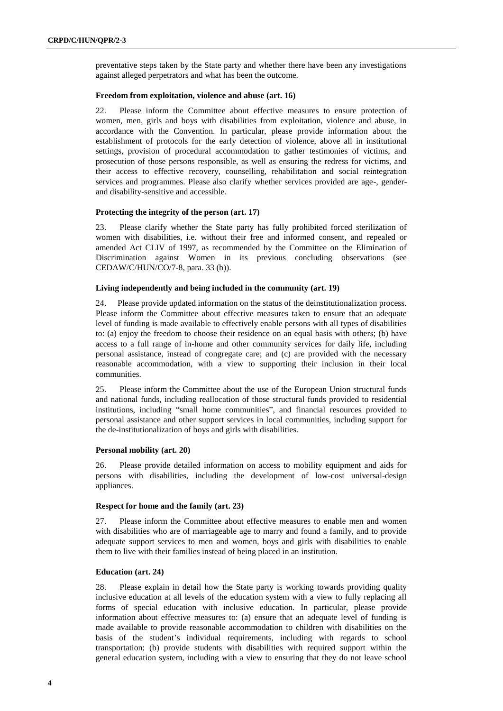preventative steps taken by the State party and whether there have been any investigations against alleged perpetrators and what has been the outcome.

#### **Freedom from exploitation, violence and abuse (art. 16)**

22. Please inform the Committee about effective measures to ensure protection of women, men, girls and boys with disabilities from exploitation, violence and abuse, in accordance with the Convention. In particular, please provide information about the establishment of protocols for the early detection of violence, above all in institutional settings, provision of procedural accommodation to gather testimonies of victims, and prosecution of those persons responsible, as well as ensuring the redress for victims, and their access to effective recovery, counselling, rehabilitation and social reintegration services and programmes. Please also clarify whether services provided are age-, genderand disability-sensitive and accessible.

#### **Protecting the integrity of the person (art. 17)**

23. Please clarify whether the State party has fully prohibited forced sterilization of women with disabilities, i.e. without their free and informed consent, and repealed or amended Act CLIV of 1997, as recommended by the Committee on the Elimination of Discrimination against Women in its previous concluding observations (see CEDAW/C/HUN/CO/7-8, para. 33 (b)).

#### **Living independently and being included in the community (art. 19)**

24. Please provide updated information on the status of the deinstitutionalization process. Please inform the Committee about effective measures taken to ensure that an adequate level of funding is made available to effectively enable persons with all types of disabilities to: (a) enjoy the freedom to choose their residence on an equal basis with others; (b) have access to a full range of in-home and other community services for daily life, including personal assistance, instead of congregate care; and (c) are provided with the necessary reasonable accommodation, with a view to supporting their inclusion in their local communities.

25. Please inform the Committee about the use of the European Union structural funds and national funds, including reallocation of those structural funds provided to residential institutions, including "small home communities", and financial resources provided to personal assistance and other support services in local communities, including support for the de-institutionalization of boys and girls with disabilities.

#### **Personal mobility (art. 20)**

26. Please provide detailed information on access to mobility equipment and aids for persons with disabilities, including the development of low-cost universal-design appliances.

#### **Respect for home and the family (art. 23)**

27. Please inform the Committee about effective measures to enable men and women with disabilities who are of marriageable age to marry and found a family, and to provide adequate support services to men and women, boys and girls with disabilities to enable them to live with their families instead of being placed in an institution.

#### **Education (art. 24)**

28. Please explain in detail how the State party is working towards providing quality inclusive education at all levels of the education system with a view to fully replacing all forms of special education with inclusive education. In particular, please provide information about effective measures to: (a) ensure that an adequate level of funding is made available to provide reasonable accommodation to children with disabilities on the basis of the student's individual requirements, including with regards to school transportation; (b) provide students with disabilities with required support within the general education system, including with a view to ensuring that they do not leave school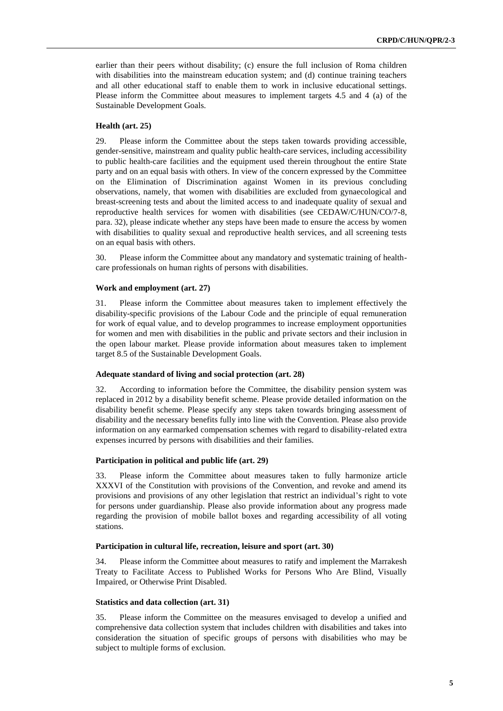earlier than their peers without disability; (c) ensure the full inclusion of Roma children with disabilities into the mainstream education system; and (d) continue training teachers and all other educational staff to enable them to work in inclusive educational settings. Please inform the Committee about measures to implement targets 4.5 and 4 (a) of the Sustainable Development Goals.

#### **Health (art. 25)**

29. Please inform the Committee about the steps taken towards providing accessible, gender-sensitive, mainstream and quality public health-care services, including accessibility to public health-care facilities and the equipment used therein throughout the entire State party and on an equal basis with others. In view of the concern expressed by the Committee on the Elimination of Discrimination against Women in its previous concluding observations, namely, that women with disabilities are excluded from gynaecological and breast-screening tests and about the limited access to and inadequate quality of sexual and reproductive health services for women with disabilities (see CEDAW/C/HUN/CO/7-8, para. 32), please indicate whether any steps have been made to ensure the access by women with disabilities to quality sexual and reproductive health services, and all screening tests on an equal basis with others.

30. Please inform the Committee about any mandatory and systematic training of healthcare professionals on human rights of persons with disabilities.

#### **Work and employment (art. 27)**

31. Please inform the Committee about measures taken to implement effectively the disability-specific provisions of the Labour Code and the principle of equal remuneration for work of equal value, and to develop programmes to increase employment opportunities for women and men with disabilities in the public and private sectors and their inclusion in the open labour market. Please provide information about measures taken to implement target 8.5 of the Sustainable Development Goals.

#### **Adequate standard of living and social protection (art. 28)**

32. According to information before the Committee, the disability pension system was replaced in 2012 by a disability benefit scheme. Please provide detailed information on the disability benefit scheme. Please specify any steps taken towards bringing assessment of disability and the necessary benefits fully into line with the Convention. Please also provide information on any earmarked compensation schemes with regard to disability-related extra expenses incurred by persons with disabilities and their families.

#### **Participation in political and public life (art. 29)**

33. Please inform the Committee about measures taken to fully harmonize article XXXVI of the Constitution with provisions of the Convention, and revoke and amend its provisions and provisions of any other legislation that restrict an individual's right to vote for persons under guardianship. Please also provide information about any progress made regarding the provision of mobile ballot boxes and regarding accessibility of all voting stations.

#### **Participation in cultural life, recreation, leisure and sport (art. 30)**

34. Please inform the Committee about measures to ratify and implement the Marrakesh Treaty to Facilitate Access to Published Works for Persons Who Are Blind, Visually Impaired, or Otherwise Print Disabled.

#### **Statistics and data collection (art. 31)**

35. Please inform the Committee on the measures envisaged to develop a unified and comprehensive data collection system that includes children with disabilities and takes into consideration the situation of specific groups of persons with disabilities who may be subject to multiple forms of exclusion.